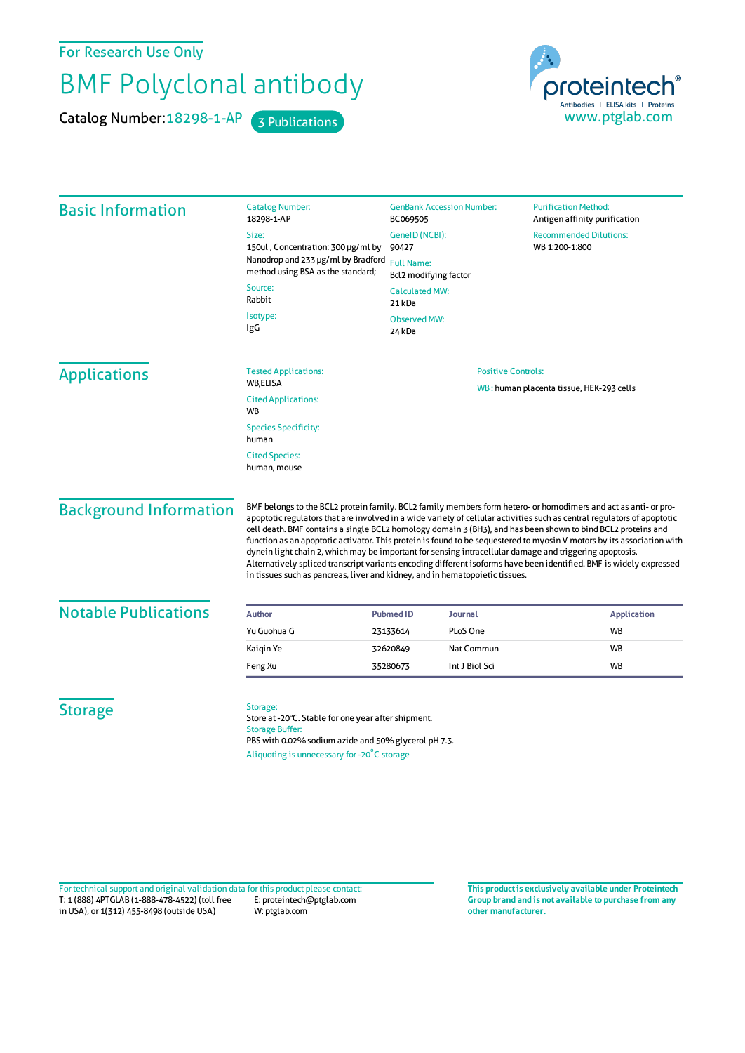For Research Use Only

## BMF Polyclonal antibody

Catalog Number: 18298-1-AP 3 Publications

proteintech® Antibodies | ELISA kits | Proteins<br>WWW.ptglab.com

| <b>Basic Information</b>      | <b>Catalog Number:</b><br>18298-1-AP                                                                                                                                                                                                                                                                                                                                                                                                                                                                                                                                                                                                                                                                                                                                                                   | <b>GenBank Accession Number:</b><br>BC069505        |                           | <b>Purification Method:</b><br>Antigen affinity purification |  |
|-------------------------------|--------------------------------------------------------------------------------------------------------------------------------------------------------------------------------------------------------------------------------------------------------------------------------------------------------------------------------------------------------------------------------------------------------------------------------------------------------------------------------------------------------------------------------------------------------------------------------------------------------------------------------------------------------------------------------------------------------------------------------------------------------------------------------------------------------|-----------------------------------------------------|---------------------------|--------------------------------------------------------------|--|
|                               | Size:                                                                                                                                                                                                                                                                                                                                                                                                                                                                                                                                                                                                                                                                                                                                                                                                  | GeneID (NCBI):                                      |                           | <b>Recommended Dilutions:</b>                                |  |
|                               | 150ul, Concentration: 300 µg/ml by<br>Nanodrop and 233 µg/ml by Bradford<br>method using BSA as the standard;                                                                                                                                                                                                                                                                                                                                                                                                                                                                                                                                                                                                                                                                                          | 90427<br><b>Full Name:</b><br>Bcl2 modifying factor |                           | WB 1:200-1:800                                               |  |
|                               | Source:<br>Rabbit                                                                                                                                                                                                                                                                                                                                                                                                                                                                                                                                                                                                                                                                                                                                                                                      | <b>Calculated MW:</b><br>21 kDa                     |                           |                                                              |  |
|                               | Isotype:<br>IgG                                                                                                                                                                                                                                                                                                                                                                                                                                                                                                                                                                                                                                                                                                                                                                                        | <b>Observed MW:</b><br>24 kDa                       |                           |                                                              |  |
| <b>Applications</b>           | <b>Tested Applications:</b><br><b>WB.ELISA</b>                                                                                                                                                                                                                                                                                                                                                                                                                                                                                                                                                                                                                                                                                                                                                         |                                                     | <b>Positive Controls:</b> |                                                              |  |
|                               | <b>Cited Applications:</b><br>WB                                                                                                                                                                                                                                                                                                                                                                                                                                                                                                                                                                                                                                                                                                                                                                       |                                                     |                           | WB: human placenta tissue, HEK-293 cells                     |  |
|                               | <b>Species Specificity:</b><br>human                                                                                                                                                                                                                                                                                                                                                                                                                                                                                                                                                                                                                                                                                                                                                                   |                                                     |                           |                                                              |  |
|                               | <b>Cited Species:</b><br>human, mouse                                                                                                                                                                                                                                                                                                                                                                                                                                                                                                                                                                                                                                                                                                                                                                  |                                                     |                           |                                                              |  |
| <b>Background Information</b> | BMF belongs to the BCL2 protein family. BCL2 family members form hetero- or homodimers and act as anti- or pro-<br>apoptotic regulators that are involved in a wide variety of cellular activities such as central regulators of apoptotic<br>cell death. BMF contains a single BCL2 homology domain 3 (BH3), and has been shown to bind BCL2 proteins and<br>function as an apoptotic activator. This protein is found to be sequestered to myosin V motors by its association with<br>dynein light chain 2, which may be important for sensing intracellular damage and triggering apoptosis.<br>Alternatively spliced transcript variants encoding different isoforms have been identified. BMF is widely expressed<br>in tissues such as pancreas, liver and kidney, and in hematopoietic tissues. |                                                     |                           |                                                              |  |
| <b>Notable Publications</b>   | <b>Author</b>                                                                                                                                                                                                                                                                                                                                                                                                                                                                                                                                                                                                                                                                                                                                                                                          | <b>Journal</b><br><b>Pubmed ID</b>                  |                           | <b>Application</b>                                           |  |
|                               | Yu Guohua G                                                                                                                                                                                                                                                                                                                                                                                                                                                                                                                                                                                                                                                                                                                                                                                            | PLoS One<br>23133614                                |                           | <b>WB</b>                                                    |  |
|                               | Kaigin Ye                                                                                                                                                                                                                                                                                                                                                                                                                                                                                                                                                                                                                                                                                                                                                                                              | 32620849                                            | Nat Commun                | WB                                                           |  |
|                               | Feng Xu                                                                                                                                                                                                                                                                                                                                                                                                                                                                                                                                                                                                                                                                                                                                                                                                | 35280673                                            | Int J Biol Sci            | WB                                                           |  |
| <b>Storage</b>                | Storage:<br>Store at -20°C. Stable for one year after shipment.<br><b>Storage Buffer:</b><br>PBS with 0.02% sodium azide and 50% glycerol pH 7.3.<br>Aliquoting is unnecessary for -20°C storage                                                                                                                                                                                                                                                                                                                                                                                                                                                                                                                                                                                                       |                                                     |                           |                                                              |  |

T: 1 (888) 4PTGLAB (1-888-478-4522) (toll free in USA), or 1(312) 455-8498 (outside USA) E: proteintech@ptglab.com W: ptglab.com Fortechnical support and original validation data forthis product please contact: **This productis exclusively available under Proteintech**

**Group brand and is not available to purchase from any other manufacturer.**